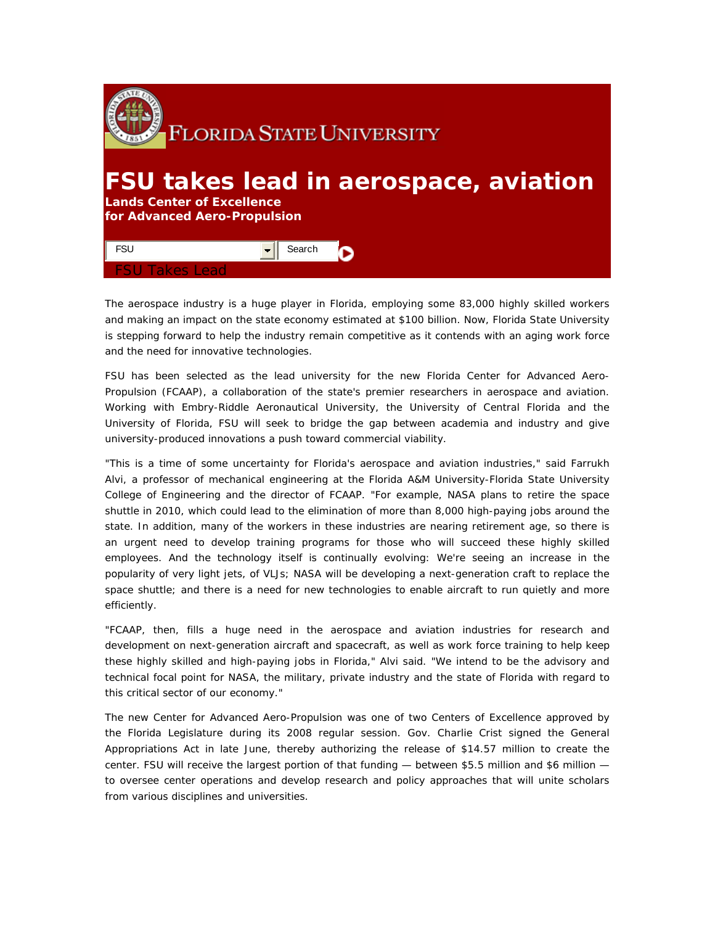

## **FSU takes lead in aerospace, aviation**

**Lands Center of Excellence for Advanced Aero-Propulsion** 



The aerospace industry is a huge player in Florida, employing some 83,000 highly skilled workers and making an impact on the state economy estimated at \$100 billion. Now, Florida State University is stepping forward to help the industry remain competitive as it contends with an aging work force and the need for innovative technologies.

FSU has been selected as the lead university for the new Florida Center for Advanced Aero-Propulsion (FCAAP), a collaboration of the state's premier researchers in aerospace and aviation. Working with Embry-Riddle Aeronautical University, the University of Central Florida and the University of Florida, FSU will seek to bridge the gap between academia and industry and give university-produced innovations a push toward commercial viability.

"This is a time of some uncertainty for Florida's aerospace and aviation industries," said Farrukh Alvi, a professor of mechanical engineering at the Florida A&M University-Florida State University College of Engineering and the director of FCAAP. "For example, NASA plans to retire the space shuttle in 2010, which could lead to the elimination of more than 8,000 high-paying jobs around the state. In addition, many of the workers in these industries are nearing retirement age, so there is an urgent need to develop training programs for those who will succeed these highly skilled employees. And the technology itself is continually evolving: We're seeing an increase in the popularity of very light jets, of VLJs; NASA will be developing a next-generation craft to replace the space shuttle; and there is a need for new technologies to enable aircraft to run quietly and more efficiently.

"FCAAP, then, fills a huge need in the aerospace and aviation industries for research and development on next-generation aircraft and spacecraft, as well as work force training to help keep these highly skilled and high-paying jobs in Florida," Alvi said. "We intend to be the advisory and technical focal point for NASA, the military, private industry and the state of Florida with regard to this critical sector of our economy."

The new Center for Advanced Aero-Propulsion was one of two Centers of Excellence approved by the Florida Legislature during its 2008 regular session. Gov. Charlie Crist signed the General Appropriations Act in late June, thereby authorizing the release of \$14.57 million to create the center. FSU will receive the largest portion of that funding — between \$5.5 million and \$6 million to oversee center operations and develop research and policy approaches that will unite scholars from various disciplines and universities.